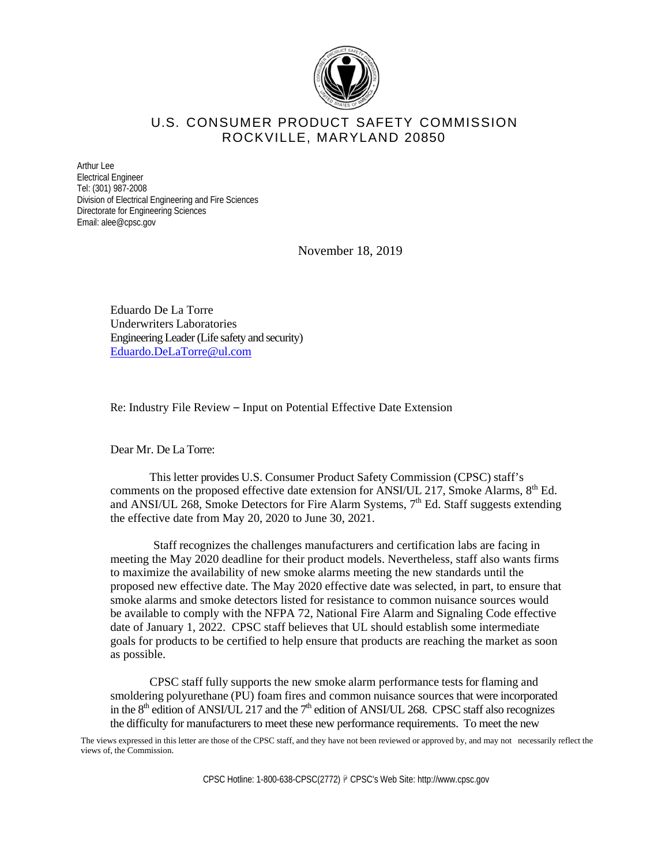

## U.S. CONSUMER PRODUCT SAFETY COMMISSION ROCKVILLE, MARYLAND 20850

Arthur Lee Electrical Engineer Tel: (301) 987-2008 Division of Electrical Engineering and Fire Sciences Directorate for Engineering Sciences Email: alee@cpsc.gov

November 18, 2019

Eduardo De La Torre Underwriters Laboratories Engineering Leader (Life safety and security) Eduardo.DeLaTorre@ul.com

Re: Industry File Review – Input on Potential Effective Date Extension

Dear Mr. De La Torre:

This letter provides U.S. Consumer Product Safety Commission (CPSC) staff's comments on the proposed effective date extension for ANSI/UL 217, Smoke Alarms,  $8<sup>th</sup>$  Ed. and ANSI/UL 268, Smoke Detectors for Fire Alarm Systems, 7<sup>th</sup> Ed. Staff suggests extending the effective date from May 20, 2020 to June 30, 2021.

Staff recognizes the challenges manufacturers and certification labs are facing in meeting the May 2020 deadline for their product models. Nevertheless, staff also wants firms to maximize the availability of new smoke alarms meeting the new standards until the proposed new effective date. The May 2020 effective date was selected, in part, to ensure that smoke alarms and smoke detectors listed for resistance to common nuisance sources would be available to comply with the NFPA 72, National Fire Alarm and Signaling Code effective date of January 1, 2022. CPSC staff believes that UL should establish some intermediate goals for products to be certified to help ensure that products are reaching the market as soon as possible.

CPSC staff fully supports the new smoke alarm performance tests for flaming and smoldering polyurethane (PU) foam fires and common nuisance sources that were incorporated in the  $8<sup>th</sup>$  edition of ANSI/UL 217 and the  $7<sup>th</sup>$  edition of ANSI/UL 268. CPSC staff also recognizes the difficulty for manufacturers to meet these new performance requirements. To meet the new

The views expressed in this letter are those of the CPSC staff, and they have not been reviewed or approved by, and may not necessarily reflect the views of, the Commission.

CPSC Hotline: 1-800-638-CPSC(2772) @ CPSC's Web Site: http://www.cpsc.gov